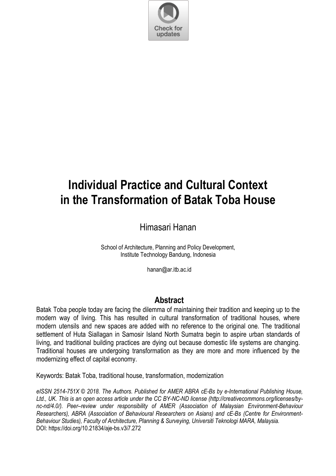

# **Individual Practice and Cultural Context in the Transformation of Batak Toba House**

Himasari Hanan

School of Architecture, Planning and Policy Development Institute Technology Bandung, Indonesia

hanan@ar.itb.ac.id

## **Abstract**

Batak Toba people today are facing the dilemma of maintaining their tradition and keeping up to the modern way of living. This has resulted in cultural transformation of traditional houses, where modern utensils and new spaces are added with no reference to the original one. The traditional settlement of Huta Siallagan in Samosir Island North Sumatra begin to aspire urban standards of living, and traditional building practices are dying out because domestic life systems are changing. Traditional houses are undergoing transformation as they are more and more influenced by the modernizing effect of capital economy.

Keywords: Batak Toba, traditional house, transformation, modernization

*eISSN 2514-751X © 2018. The Authors. Published for AMER ABRA cE-Bs by e-International Publishing House, Ltd., UK. This is an open access article under the CC BY-NC-ND license (http://creativecommons.org/licenses/bync-nd/4.0/). Peer–review under responsibility of AMER (Association of Malaysian Environment-Behaviour Researchers), ABRA (Association of Behavioural Researchers on Asians) and cE-Bs (Centre for Environment-Behaviour Studies), Faculty of Architecture, Planning & Surveying, Universiti Teknologi MARA, Malaysia.*  DOI: https://doi.org/10.21834/aje-bs.v3i7.272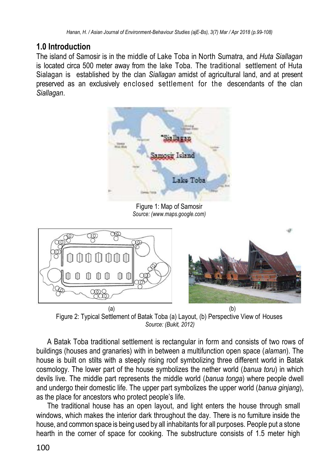# **1.0 Introduction**

The island of Samosir is in the middle of Lake Toba in North Sumatra, and *Huta Siallagan*  is located circa 500 meter away from the lake Toba. The traditional settlement of Huta Sialagan is established by the clan *Siallagan* amidst of agricultural land, and at present preserved as an exclusively enclosed settlement for the descendants of the clan *Siallagan*.



Figure 1: Map of Samosir *Source: (www.maps.google.com)* 



 $(a)$  (b) Figure 2: Typical Settlement of Batak Toba (a) Layout, (b) Perspective View of Houses *Source: (Bukit, 2012)*

A Batak Toba traditional settlement is rectangular in form and consists of two rows of buildings (houses and granaries) with in between a multifunction open space (*alaman*). The house is built on stilts with a steeply rising roof symbolizing three different world in Batak cosmology. The lower part of the house symbolizes the nether world (*banua toru*) in which devils live. The middle part represents the middle world (*banua tonga*) where people dwell and undergo their domestic life. The upper part symbolizes the upper world (*banua ginjang*), as the place for ancestors who protect people's life.

The traditional house has an open layout, and light enters the house through small windows, which makes the interior dark throughout the day. There is no furniture inside the house, and common space is being used by all inhabitants for all purposes. People put a stone hearth in the corner of space for cooking. The substructure consists of 1.5 meter high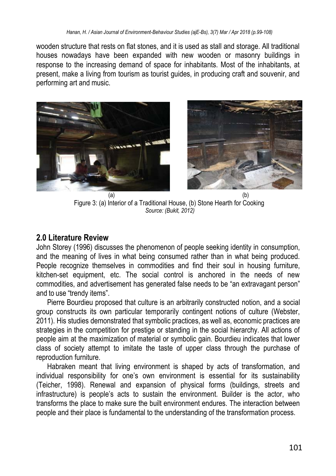wooden structure that rests on flat stones, and it is used as stall and storage. All traditional houses nowadays have been expanded with new wooden or masonry buildings in response to the increasing demand of space for inhabitants. Most of the inhabitants, at present, make a living from tourism as tourist guides, in producing craft and souvenir, and performing art and music.





 $(a)$  (b) Figure 3: (a) Interior of a Traditional House, (b) Stone Hearth for Cooking *Source: (Bukit, 2012)*

### **2.0 Literature Review**

John Storey (1996) discusses the phenomenon of people seeking identity in consumption, and the meaning of lives in what being consumed rather than in what being produced. People recognize themselves in commodities and find their soul in housing furniture, kitchen-set equipment, etc. The social control is anchored in the needs of new commodities, and advertisement has generated false needs to be "an extravagant person" and to use "trendy items".

Pierre Bourdieu proposed that culture is an arbitrarily constructed notion, and a social group constructs its own particular temporarily contingent notions of culture (Webster, 2011). His studies demonstrated that symbolic practices, as well as, economic practices are strategies in the competition for prestige or standing in the social hierarchy. All actions of people aim at the maximization of material or symbolic gain. Bourdieu indicates that lower class of society attempt to imitate the taste of upper class through the purchase of reproduction furniture.

Habraken meant that living environment is shaped by acts of transformation, and individual responsibility for one's own environment is essential for its sustainability (Teicher, 1998). Renewal and expansion of physical forms (buildings, streets and infrastructure) is people's acts to sustain the environment. Builder is the actor, who transforms the place to make sure the built environment endures. The interaction between people and their place is fundamental to the understanding of the transformation process.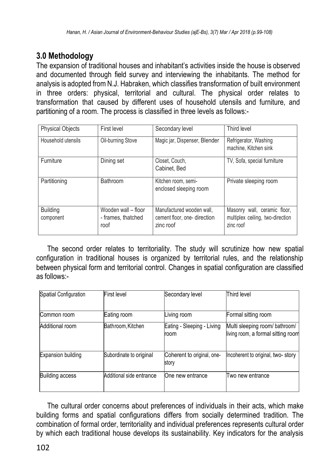# **3.0 Methodology**

The expansion of traditional houses and inhabitant's activities inside the house is observed and documented through field survey and interviewing the inhabitants. The method for analysis is adopted from N.J. Habraken, which classifies transformation of built environment in three orders: physical, territorial and cultural. The physical order relates to transformation that caused by different uses of household utensils and furniture, and partitioning of a room. The process is classified in three levels as follows:-

| <b>Physical Objects</b>      | First level                                       | Secondary level                                                       | Third level                                                                   |  |
|------------------------------|---------------------------------------------------|-----------------------------------------------------------------------|-------------------------------------------------------------------------------|--|
| Household utensils           | Oil-burning Stove                                 | Magic jar, Dispenser, Blender                                         | Refrigerator, Washing<br>machine, Kitchen sink                                |  |
| Furniture                    | Dining set                                        | Closet, Couch,<br>Cabinet. Bed                                        | TV, Sofa, special furniture                                                   |  |
| Partitioning                 | Bathroom                                          | Kitchen room, semi-<br>enclosed sleeping room                         | Private sleeping room                                                         |  |
| <b>Building</b><br>component | Wooden wall - floor<br>- frames, thatched<br>roof | Manufactured wooden wall,<br>cement floor, one-direction<br>zinc roof | Masonry wall, ceramic floor,<br>multiplex ceiling, two-direction<br>zinc roof |  |

The second order relates to territoriality. The study will scrutinize how new spatial configuration in traditional houses is organized by territorial rules, and the relationship between physical form and territorial control. Changes in spatial configuration are classified as follows:-

| Spatial Configuration     | First level              | Secondary level                     | Third level                                                          |  |  |
|---------------------------|--------------------------|-------------------------------------|----------------------------------------------------------------------|--|--|
| Common room               | Eating room              | Living room                         | Formal sitting room                                                  |  |  |
| Additional room           | Bathroom, Kitchen        | Eating - Sleeping - Living<br>room  | Multi sleeping room/ bathroom/<br>living room, a formal sitting room |  |  |
| <b>Expansion building</b> | Subordinate to original  | Coherent to original, one-<br>story | Incoherent to original, two-story                                    |  |  |
| <b>Building access</b>    | Additional side entrance | One new entrance                    | lTwo new entrance                                                    |  |  |

The cultural order concerns about preferences of individuals in their acts, which make building forms and spatial configurations differs from socially determined tradition. The combination of formal order, territoriality and individual preferences represents cultural order by which each traditional house develops its sustainability. Key indicators for the analysis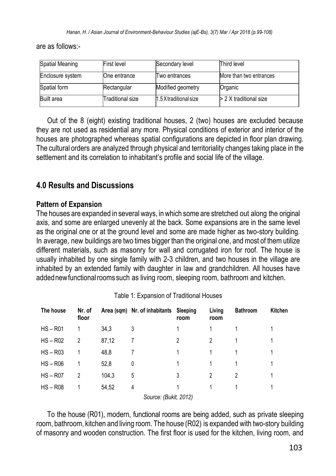are as follows:-

| Spatial Meaning   | <b>First level</b> | Secondary level       | Third level              |
|-------------------|--------------------|-----------------------|--------------------------|
| Enclosure system  | One entrance       | Two entrances         | More than two entrances  |
| Spatial form      | Rectangular        | Modified geometry     | Organic                  |
| <b>Built</b> area | Traditional size   | 1.5X traditional size | $> 2 X$ traditional size |

Out of the 8 (eight) existing traditional houses, 2 (two) houses are excluded because they are not used as residential any more. Physical conditions of exterior and interior of the houses are photographed whereas spatial configurations are depicted in floor plan drawing. The cultural orders are analyzed through physical and territoriality changes taking place in the settlement and its correlation to inhabitant's profile and social life of the village.

# **4.0 Results and Discussions**

#### **Pattern of Expansion**

The houses are expanded in several ways, in which some are stretched out along the original axis, and some are enlarged unevenly at the back. Some expansions are in the same level as the original one or at the ground level and some are made higher as two-story building. In average, new buildings are two times bigger than the original one, and most of them utilize different materials, such as masonry for wall and corrugated iron for roof. The house is usually inhabited by one single family with 2-3 children, and two houses in the village are inhabited by an extended family with daughter in law and grandchildren. All houses have added new functional rooms such as living room, sleeping room, bathroom and kitchen.

| The house  | Nr. of<br>floor |       | Area (sqm) Nr. of inhabitants | Sleeping<br>room | Living<br>room | <b>Bathroom</b> | Kitchen |
|------------|-----------------|-------|-------------------------------|------------------|----------------|-----------------|---------|
| $HS - R01$ |                 | 34.3  | 3                             |                  |                |                 |         |
| $HS - R02$ | 2               | 87,12 |                               | 2                | 2              |                 |         |
| $HS - R03$ |                 | 48,8  |                               |                  |                |                 |         |
| $HS - R06$ |                 | 52,8  | 0                             |                  |                |                 |         |
| $HS - R07$ | 2               | 104,3 | 5                             | 3                | 2              | 2               |         |
| $HS - R08$ |                 | 54,52 | 4                             |                  |                |                 |         |
|            |                 |       | Source: (Bukit, 2012)         |                  |                |                 |         |

To the house (R01), modern, functional rooms are being added, such as private sleeping room, bathroom, kitchen and living room. The house (R02) is expanded with two-story building of masonry and wooden construction. The first floor is used for the kitchen, living room, and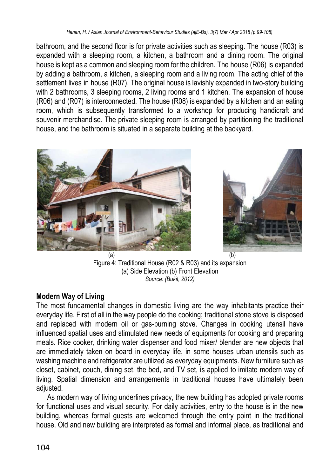bathroom, and the second floor is for private activities such as sleeping. The house (R03) is expanded with a sleeping room, a kitchen, a bathroom and a dining room. The original house is kept as a common and sleeping room for the children. The house (R06) is expanded by adding a bathroom, a kitchen, a sleeping room and a living room. The acting chief of the settlement lives in house (R07). The original house is lavishly expanded in two-story building with 2 bathrooms, 3 sleeping rooms, 2 living rooms and 1 kitchen. The expansion of house (R06) and (R07) is interconnected. The house (R08) is expanded by a kitchen and an eating room, which is subsequently transformed to a workshop for producing handicraft and souvenir merchandise. The private sleeping room is arranged by partitioning the traditional house, and the bathroom is situated in a separate building at the backyard.





 $(a)$  (b) Figure 4: Traditional House (R02 & R03) and its expansion (a) Side Elevation (b) Front Elevation *Source: (Bukit, 2012)*

## **Modern Way of Living**

The most fundamental changes in domestic living are the way inhabitants practice their everyday life. First of all in the way people do the cooking; traditional stone stove is disposed and replaced with modern oil or gas-burning stove. Changes in cooking utensil have influenced spatial uses and stimulated new needs of equipments for cooking and preparing meals. Rice cooker, drinking water dispenser and food mixer/ blender are new objects that are immediately taken on board in everyday life, in some houses urban utensils such as washing machine and refrigerator are utilized as everyday equipments. New furniture such as closet, cabinet, couch, dining set, the bed, and TV set, is applied to imitate modern way of living. Spatial dimension and arrangements in traditional houses have ultimately been adiusted.

As modern way of living underlines privacy, the new building has adopted private rooms for functional uses and visual security. For daily activities, entry to the house is in the new building, whereas formal guests are welcomed through the entry point in the traditional house. Old and new building are interpreted as formal and informal place, as traditional and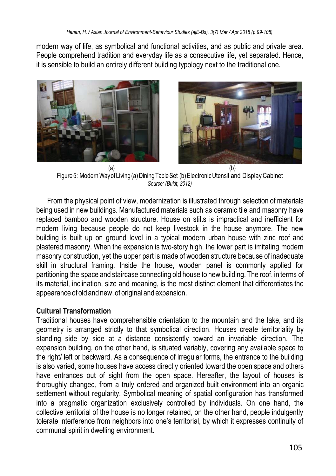modern way of life, as symbolical and functional activities, and as public and private area. People comprehend tradition and everyday life as a consecutive life, yet separated. Hence, it is sensible to build an entirely different building typology next to the traditional one.



Figure5: ModernWayofLiving(a)DiningTableSet (b)ElectronicUtensil and DisplayCabinet *Source: (Bukit, 2012)*

From the physical point of view, modernization is illustrated through selection of materials being used in new buildings. Manufactured materials such as ceramic tile and masonry have replaced bamboo and wooden structure. House on stilts is impractical and inefficient for modern living because people do not keep livestock in the house anymore. The new building is built up on ground level in a typical modern urban house with zinc roof and plastered masonry. When the expansion is two-story high, the lower part is imitating modern masonry construction, yet the upper part is made of wooden structure because of inadequate skill in structural framing. Inside the house, wooden panel is commonly applied for partitioning the space and staircase connecting old house to new building. The roof, in terms of its material, inclination, size and meaning, is the most distinct element that differentiates the appearance of old and new, of original and expansion.

#### **Cultural Transformation**

Traditional houses have comprehensible orientation to the mountain and the lake, and its geometry is arranged strictly to that symbolical direction. Houses create territoriality by standing side by side at a distance consistently toward an invariable direction. The expansion building, on the other hand, is situated variably, covering any available space to the right/ left or backward. As a consequence of irregular forms, the entrance to the building is also varied, some houses have access directly oriented toward the open space and others have entrances out of sight from the open space. Hereafter, the layout of houses is thoroughly changed, from a truly ordered and organized built environment into an organic settlement without regularity. Symbolical meaning of spatial configuration has transformed into a pragmatic organization exclusively controlled by individuals. On one hand, the collective territorial of the house is no longer retained, on the other hand, people indulgently tolerate interference from neighbors into one's territorial, by which it expresses continuity of communal spirit in dwelling environment.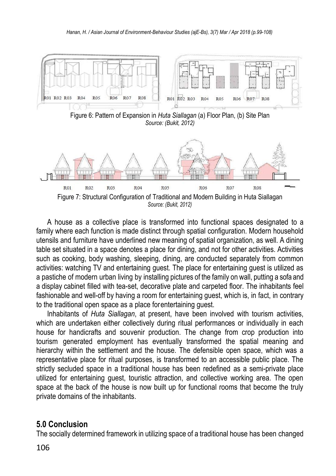

A house as a collective place is transformed into functional spaces designated to a family where each function is made distinct through spatial configuration. Modern household utensils and furniture have underlined new meaning of spatial organization, as well. A dining table set situated in a space denotes a place for dining, and not for other activities. Activities such as cooking, body washing, sleeping, dining, are conducted separately from common activities: watching TV and entertaining guest. The place for entertaining guest is utilized as a pastiche of modern urban living by installing pictures of the family on wall, putting a sofa and a display cabinet filled with tea-set, decorative plate and carpeted floor. The inhabitants feel fashionable and well-off by having a room for entertaining guest, which is, in fact, in contrary to the traditional open space as a place forentertaining guest.

Inhabitants of *Huta Siallagan*, at present, have been involved with tourism activities, which are undertaken either collectively during ritual performances or individually in each house for handicrafts and souvenir production. The change from crop production into tourism generated employment has eventually transformed the spatial meaning and hierarchy within the settlement and the house. The defensible open space, which was a representative place for ritual purposes, is transformed to an accessible public place. The strictly secluded space in a traditional house has been redefined as a semi-private place utilized for entertaining guest, touristic attraction, and collective working area. The open space at the back of the house is now built up for functional rooms that become the truly private domains of the inhabitants.

#### **5.0 Conclusion**

The socially determined framework in utilizing space of a traditional house has been changed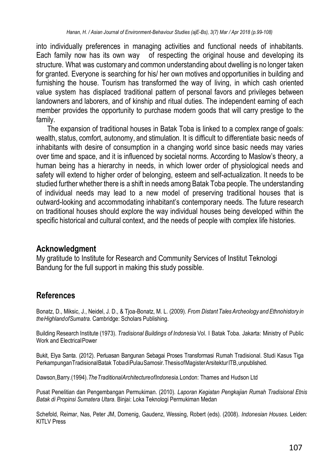into individually preferences in managing activities and functional needs of inhabitants. Each family now has its own way of respecting the original house and developing its structure. What was customary and common understanding about dwelling is no longer taken for granted. Everyone is searching for his/ her own motives and opportunities in building and furnishing the house. Tourism has transformed the way of living, in which cash oriented value system has displaced traditional pattern of personal favors and privileges between landowners and laborers, and of kinship and ritual duties. The independent earning of each member provides the opportunity to purchase modern goods that will carry prestige to the family.

The expansion of traditional houses in Batak Toba is linked to a complex range of goals: wealth, status, comfort, autonomy, and stimulation. It is difficult to differentiate basic needs of inhabitants with desire of consumption in a changing world since basic needs may varies over time and space, and it is influenced by societal norms. According to Maslow's theory, a human being has a hierarchy in needs, in which lower order of physiological needs and safety will extend to higher order of belonging, esteem and self-actualization. It needs to be studied further whether there is a shift in needs among Batak Toba people. The understanding of individual needs may lead to a new model of preserving traditional houses that is outward-looking and accommodating inhabitant's contemporary needs. The future research on traditional houses should explore the way individual houses being developed within the specific historical and cultural context, and the needs of people with complex life histories.

#### **Acknowledgment**

My gratitude to Institute for Research and Community Services of Institut Teknologi Bandung for the full support in making this study possible.

## **References**

Bonatz, D., Miksic, J., Neidel, J. D., & Tjoa-Bonatz, M. L. (2009). *From Distant TalesArcheology and Ethnohistory in theHighlandofSumatra.* Cambridge: Scholars Publishing.

Building Research Institute (1973). *Tradisional Buildings of Indonesia* Vol. I Batak Toba. Jakarta: Ministry of Public Work and ElectricalPower

Bukit, Elya Santa. (2012). Perluasan Bangunan Sebagai Proses Transformasi Rumah Tradisional. Studi Kasus Tiga PerkampunganTradisionalBatak TobadiPulauSamosir.ThesisofMagisterArsitekturITB,unpublished.

Dawson,Barry.(1994).*TheTraditionalArchitectureofIndonesia.*London: Thames and Hudson Ltd

Pusat Penelitian dan Pengembangan Permukiman. (2010). *Laporan Kegiatan Pengkajian Rumah Tradisional Etnis Batak di Propinsi Sumatera Utara.* Binjai: Loka Teknologi Permukiman Medan

Schefold, Reimar, Nas, Peter JM, Domenig, Gaudenz, Wessing, Robert (eds). (2008). *Indonesian Houses.* Leiden: KITLV Press